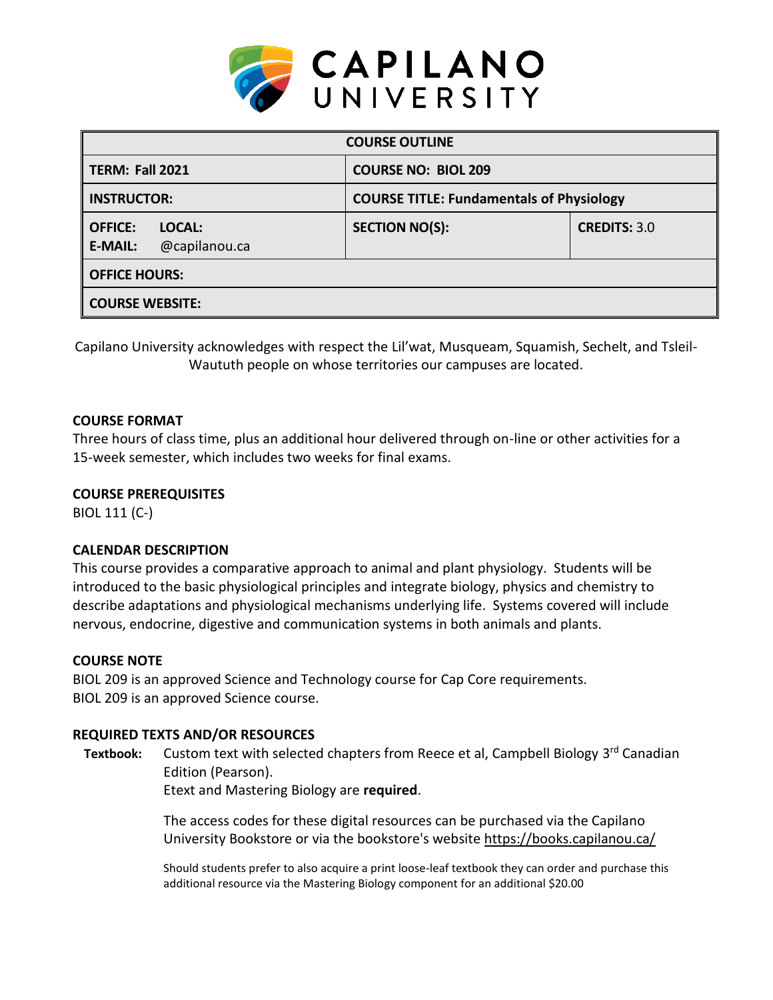

| <b>COURSE OUTLINE</b>                                       |                                                 |                     |  |
|-------------------------------------------------------------|-------------------------------------------------|---------------------|--|
| <b>TERM: Fall 2021</b>                                      | <b>COURSE NO: BIOL 209</b>                      |                     |  |
| <b>INSTRUCTOR:</b>                                          | <b>COURSE TITLE: Fundamentals of Physiology</b> |                     |  |
| <b>OFFICE:</b><br>LOCAL:<br>@capilanou.ca<br><b>E-MAIL:</b> | <b>SECTION NO(S):</b>                           | <b>CREDITS: 3.0</b> |  |
| <b>OFFICE HOURS:</b>                                        |                                                 |                     |  |
| <b>COURSE WEBSITE:</b>                                      |                                                 |                     |  |

Capilano University acknowledges with respect the Lil'wat, Musqueam, Squamish, Sechelt, and Tsleil-Waututh people on whose territories our campuses are located.

## **COURSE FORMAT**

Three hours of class time, plus an additional hour delivered through on-line or other activities for a 15-week semester, which includes two weeks for final exams.

### **COURSE PREREQUISITES**

BIOL 111 (C-)

## **CALENDAR DESCRIPTION**

This course provides a comparative approach to animal and plant physiology. Students will be introduced to the basic physiological principles and integrate biology, physics and chemistry to describe adaptations and physiological mechanisms underlying life. Systems covered will include nervous, endocrine, digestive and communication systems in both animals and plants.

## **COURSE NOTE**

BIOL 209 is an approved Science and Technology course for Cap Core requirements. BIOL 209 is an approved Science course.

## **REQUIRED TEXTS AND/OR RESOURCES**

Textbook: Custom text with selected chapters from Reece et al, Campbell Biology 3<sup>rd</sup> Canadian Edition (Pearson).

Etext and Mastering Biology are **required**.

The access codes for these digital resources can be purchased via the Capilano University Bookstore or via the bookstore's website <https://books.capilanou.ca/>

Should students prefer to also acquire a print loose-leaf textbook they can order and purchase this additional resource via the Mastering Biology component for an additional \$20.00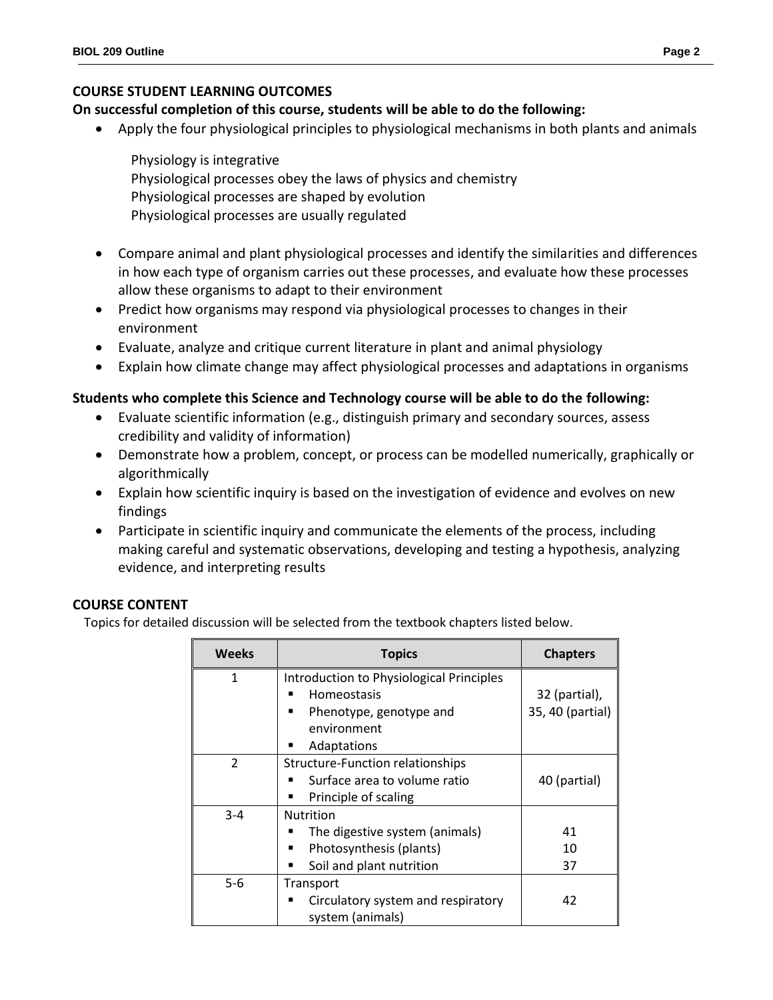## **COURSE STUDENT LEARNING OUTCOMES**

# **On successful completion of this course, students will be able to do the following:**

- Apply the four physiological principles to physiological mechanisms in both plants and animals
	- Physiology is integrative Physiological processes obey the laws of physics and chemistry Physiological processes are shaped by evolution Physiological processes are usually regulated
- Compare animal and plant physiological processes and identify the similarities and differences in how each type of organism carries out these processes, and evaluate how these processes allow these organisms to adapt to their environment
- Predict how organisms may respond via physiological processes to changes in their environment
- Evaluate, analyze and critique current literature in plant and animal physiology
- Explain how climate change may affect physiological processes and adaptations in organisms

## **Students who complete this Science and Technology course will be able to do the following:**

- Evaluate scientific information (e.g., distinguish primary and secondary sources, assess credibility and validity of information)
- Demonstrate how a problem, concept, or process can be modelled numerically, graphically or algorithmically
- Explain how scientific inquiry is based on the investigation of evidence and evolves on new findings
- Participate in scientific inquiry and communicate the elements of the process, including making careful and systematic observations, developing and testing a hypothesis, analyzing evidence, and interpreting results

## **COURSE CONTENT**

Topics for detailed discussion will be selected from the textbook chapters listed below.

| <b>Weeks</b>   | <b>Topics</b>                            | <b>Chapters</b>  |
|----------------|------------------------------------------|------------------|
| 1              | Introduction to Physiological Principles |                  |
|                | Homeostasis                              | 32 (partial),    |
|                | Phenotype, genotype and<br>٠             | 35, 40 (partial) |
|                | environment                              |                  |
|                | Adaptations<br>п                         |                  |
| $\mathfrak{p}$ | Structure-Function relationships         |                  |
|                | Surface area to volume ratio             | 40 (partial)     |
|                | Principle of scaling                     |                  |
| $3 - 4$        | <b>Nutrition</b>                         |                  |
|                | The digestive system (animals)<br>■      | 41               |
|                | Photosynthesis (plants)<br>■             | 10               |
|                | Soil and plant nutrition                 | 37               |
| $5 - 6$        | Transport                                |                  |
|                | Circulatory system and respiratory       | 42               |
|                | system (animals)                         |                  |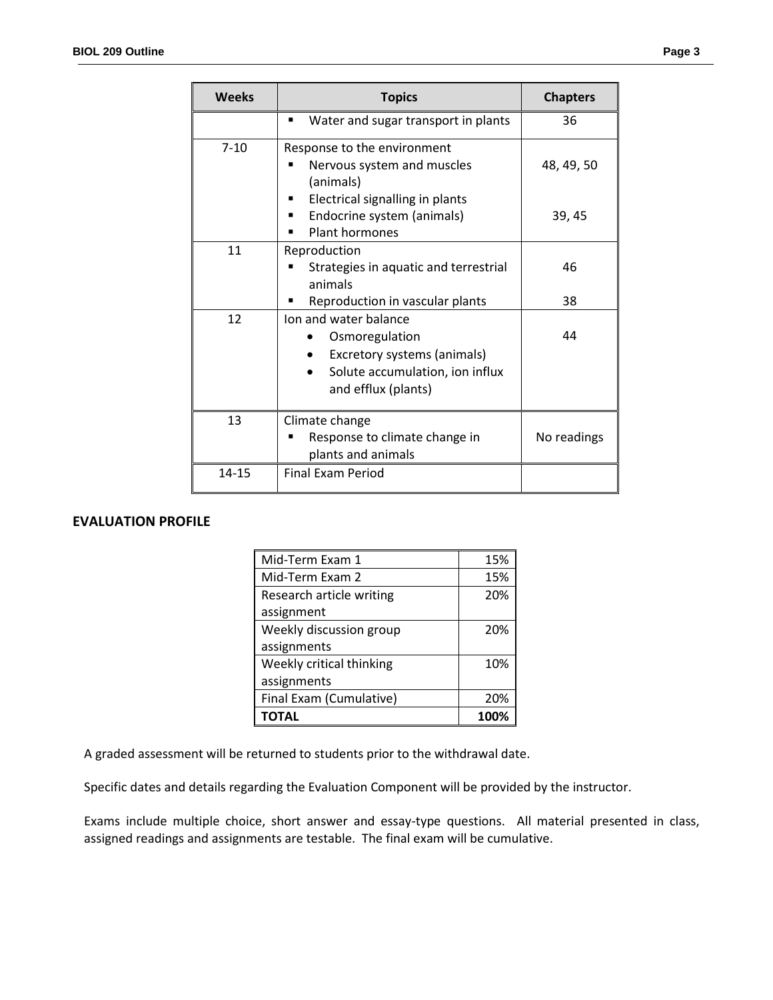|  | I |
|--|---|
|--|---|

| <b>Weeks</b> | <b>Topics</b>                                                                                                                    | <b>Chapters</b> |
|--------------|----------------------------------------------------------------------------------------------------------------------------------|-----------------|
|              | Water and sugar transport in plants<br>■                                                                                         | 36              |
| $7 - 10$     | Response to the environment<br>Nervous system and muscles<br>(animals)                                                           | 48, 49, 50      |
|              | Electrical signalling in plants<br>Endocrine system (animals)<br><b>Plant hormones</b>                                           | 39, 45          |
| 11           | Reproduction<br>Strategies in aquatic and terrestrial<br>animals                                                                 | 46              |
|              | Reproduction in vascular plants                                                                                                  | 38              |
| 12           | Ion and water balance<br>Osmoregulation<br>Excretory systems (animals)<br>Solute accumulation, ion influx<br>and efflux (plants) | 44              |
| 13           | Climate change<br>Response to climate change in<br>plants and animals                                                            | No readings     |
| 14-15        | <b>Final Exam Period</b>                                                                                                         |                 |

## **EVALUATION PROFILE**

| Mid-Term Exam 1          | 15%  |
|--------------------------|------|
| Mid-Term Exam 2          | 15%  |
| Research article writing | 20%  |
| assignment               |      |
| Weekly discussion group  | 20%  |
| assignments              |      |
| Weekly critical thinking | 10%  |
| assignments              |      |
| Final Exam (Cumulative)  | 20%  |
|                          | 100% |

A graded assessment will be returned to students prior to the withdrawal date.

Specific dates and details regarding the Evaluation Component will be provided by the instructor.

Exams include multiple choice, short answer and essay-type questions. All material presented in class, assigned readings and assignments are testable. The final exam will be cumulative.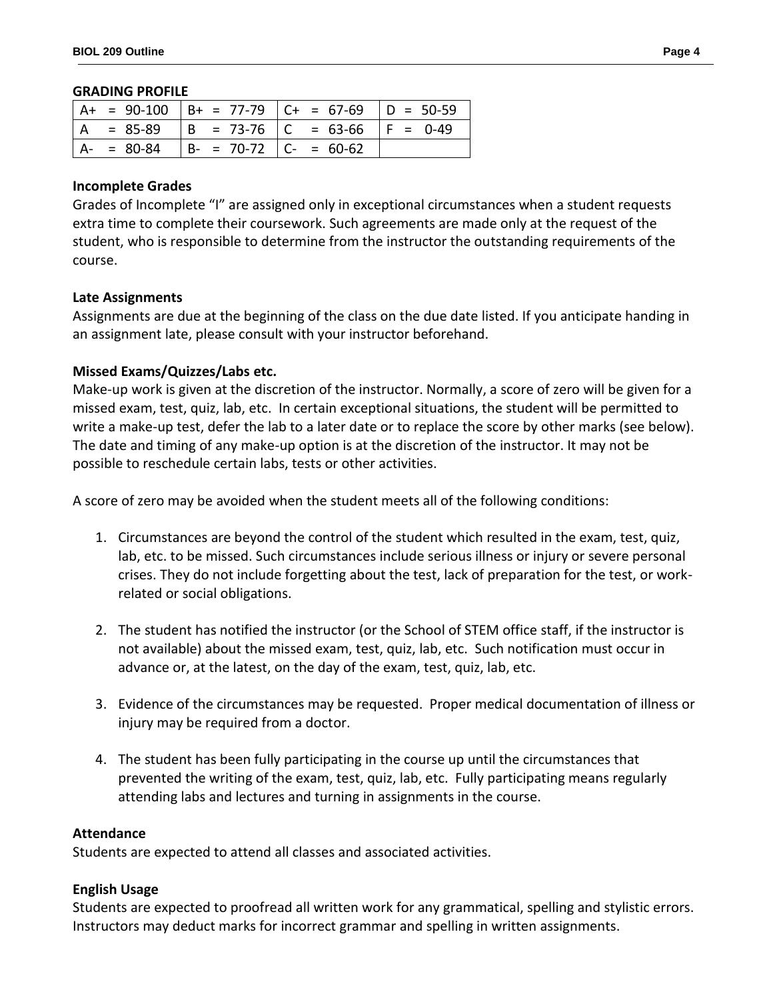#### **GRADING PROFILE**

|               |                           | $ $ A+ = 90-100 $ $ B+ = 77-79 $ $ C+ = 67-69 $ $ D = 50-59 |  |
|---------------|---------------------------|-------------------------------------------------------------|--|
| $A = 85-89$   |                           | $ B = 73-76$ $ C = 63-66$ $ F = 0-49$                       |  |
| $A - = 80-84$ | $  B - 70-72   C - 60-62$ |                                                             |  |

### **Incomplete Grades**

Grades of Incomplete "I" are assigned only in exceptional circumstances when a student requests extra time to complete their coursework. Such agreements are made only at the request of the student, who is responsible to determine from the instructor the outstanding requirements of the course.

#### **Late Assignments**

Assignments are due at the beginning of the class on the due date listed. If you anticipate handing in an assignment late, please consult with your instructor beforehand.

### **Missed Exams/Quizzes/Labs etc.**

Make-up work is given at the discretion of the instructor. Normally, a score of zero will be given for a missed exam, test, quiz, lab, etc. In certain exceptional situations, the student will be permitted to write a make-up test, defer the lab to a later date or to replace the score by other marks (see below). The date and timing of any make-up option is at the discretion of the instructor. It may not be possible to reschedule certain labs, tests or other activities.

A score of zero may be avoided when the student meets all of the following conditions:

- 1. Circumstances are beyond the control of the student which resulted in the exam, test, quiz, lab, etc. to be missed. Such circumstances include serious illness or injury or severe personal crises. They do not include forgetting about the test, lack of preparation for the test, or workrelated or social obligations.
- 2. The student has notified the instructor (or the School of STEM office staff, if the instructor is not available) about the missed exam, test, quiz, lab, etc. Such notification must occur in advance or, at the latest, on the day of the exam, test, quiz, lab, etc.
- 3. Evidence of the circumstances may be requested. Proper medical documentation of illness or injury may be required from a doctor.
- 4. The student has been fully participating in the course up until the circumstances that prevented the writing of the exam, test, quiz, lab, etc. Fully participating means regularly attending labs and lectures and turning in assignments in the course.

#### **Attendance**

Students are expected to attend all classes and associated activities.

#### **English Usage**

Students are expected to proofread all written work for any grammatical, spelling and stylistic errors. Instructors may deduct marks for incorrect grammar and spelling in written assignments.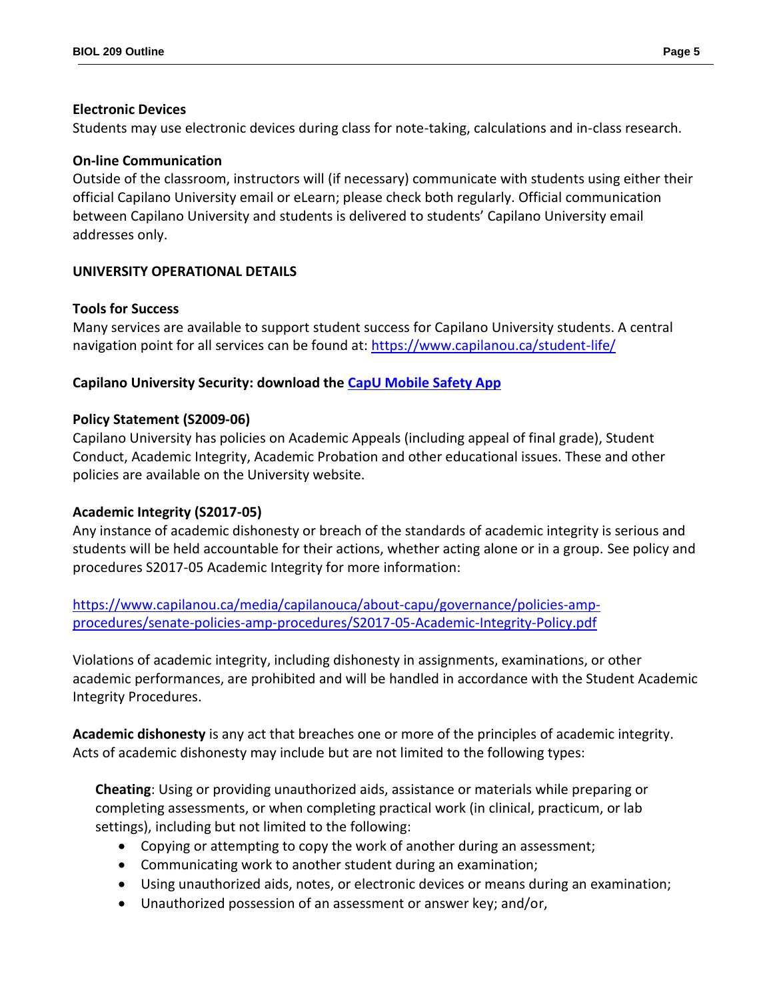### **Electronic Devices**

Students may use electronic devices during class for note-taking, calculations and in-class research.

## **On-line Communication**

Outside of the classroom, instructors will (if necessary) communicate with students using either their official Capilano University email or eLearn; please check both regularly. Official communication between Capilano University and students is delivered to students' Capilano University email addresses only.

# **UNIVERSITY OPERATIONAL DETAILS**

## **Tools for Success**

Many services are available to support student success for Capilano University students. A central navigation point for all services can be found at:<https://www.capilanou.ca/student-life/>

# **Capilano University Security: download the [CapU Mobile Safety App](https://www.capilanou.ca/student-life/support--wellness/safety--security/capu-safe-app/)**

## **Policy Statement (S2009-06)**

Capilano University has policies on Academic Appeals (including appeal of final grade), Student Conduct, Academic Integrity, Academic Probation and other educational issues. These and other policies are available on the University website.

## **Academic Integrity (S2017-05)**

Any instance of academic dishonesty or breach of the standards of academic integrity is serious and students will be held accountable for their actions, whether acting alone or in a group. See policy and procedures S2017-05 Academic Integrity for more information:

[https://www.capilanou.ca/media/capilanouca/about-capu/governance/policies-amp](https://www.capilanou.ca/media/capilanouca/about-capu/governance/policies-amp-procedures/senate-policies-amp-procedures/S2017-05-Academic-Integrity-Policy.pdf)[procedures/senate-policies-amp-procedures/S2017-05-Academic-Integrity-Policy.pdf](https://www.capilanou.ca/media/capilanouca/about-capu/governance/policies-amp-procedures/senate-policies-amp-procedures/S2017-05-Academic-Integrity-Policy.pdf)

Violations of academic integrity, including dishonesty in assignments, examinations, or other academic performances, are prohibited and will be handled in accordance with the Student Academic Integrity Procedures.

**Academic dishonesty** is any act that breaches one or more of the principles of academic integrity. Acts of academic dishonesty may include but are not limited to the following types:

**Cheating**: Using or providing unauthorized aids, assistance or materials while preparing or completing assessments, or when completing practical work (in clinical, practicum, or lab settings), including but not limited to the following:

- Copying or attempting to copy the work of another during an assessment;
- Communicating work to another student during an examination;
- Using unauthorized aids, notes, or electronic devices or means during an examination;
- Unauthorized possession of an assessment or answer key; and/or,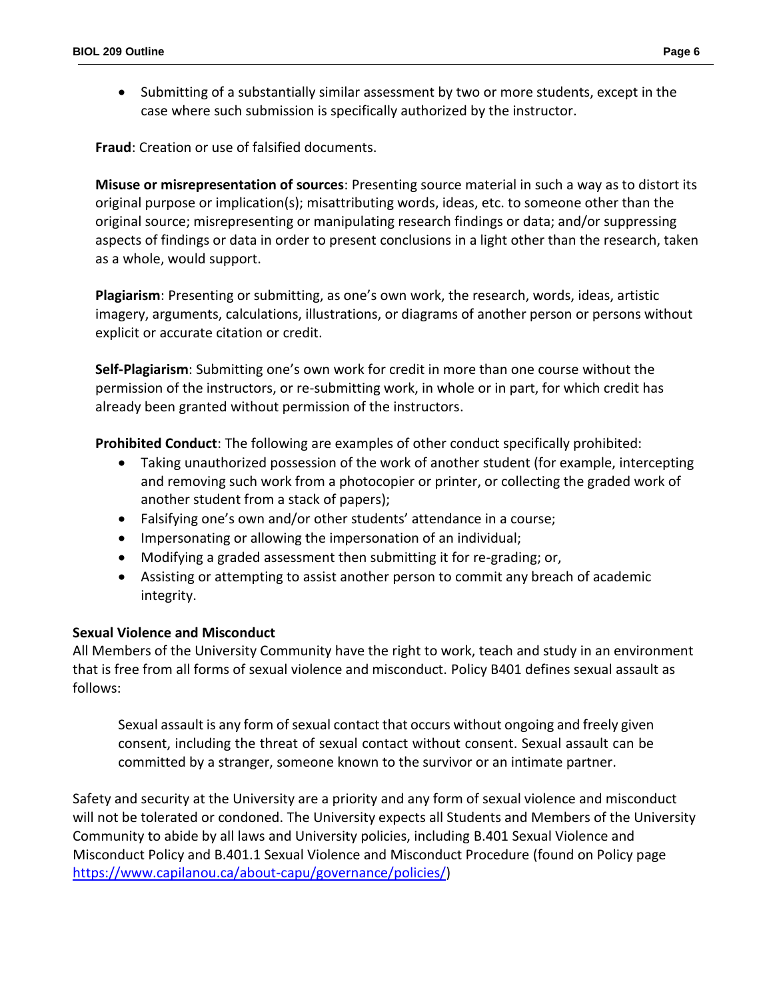Submitting of a substantially similar assessment by two or more students, except in the case where such submission is specifically authorized by the instructor.

**Fraud**: Creation or use of falsified documents.

**Misuse or misrepresentation of sources**: Presenting source material in such a way as to distort its original purpose or implication(s); misattributing words, ideas, etc. to someone other than the original source; misrepresenting or manipulating research findings or data; and/or suppressing aspects of findings or data in order to present conclusions in a light other than the research, taken as a whole, would support.

**Plagiarism**: Presenting or submitting, as one's own work, the research, words, ideas, artistic imagery, arguments, calculations, illustrations, or diagrams of another person or persons without explicit or accurate citation or credit.

**Self-Plagiarism**: Submitting one's own work for credit in more than one course without the permission of the instructors, or re-submitting work, in whole or in part, for which credit has already been granted without permission of the instructors.

**Prohibited Conduct**: The following are examples of other conduct specifically prohibited:

- Taking unauthorized possession of the work of another student (for example, intercepting and removing such work from a photocopier or printer, or collecting the graded work of another student from a stack of papers);
- Falsifying one's own and/or other students' attendance in a course;
- Impersonating or allowing the impersonation of an individual;
- Modifying a graded assessment then submitting it for re-grading; or,
- Assisting or attempting to assist another person to commit any breach of academic integrity.

# **Sexual Violence and Misconduct**

All Members of the University Community have the right to work, teach and study in an environment that is free from all forms of sexual violence and misconduct. Policy B401 defines sexual assault as follows:

Sexual assault is any form of sexual contact that occurs without ongoing and freely given consent, including the threat of sexual contact without consent. Sexual assault can be committed by a stranger, someone known to the survivor or an intimate partner.

Safety and security at the University are a priority and any form of sexual violence and misconduct will not be tolerated or condoned. The University expects all Students and Members of the University Community to abide by all laws and University policies, including B.401 Sexual Violence and Misconduct Policy and B.401.1 Sexual Violence and Misconduct Procedure (found on Policy page [https://www.capilanou.ca/about-capu/governance/policies/\)](https://www.capilanou.ca/about-capu/governance/policies/)